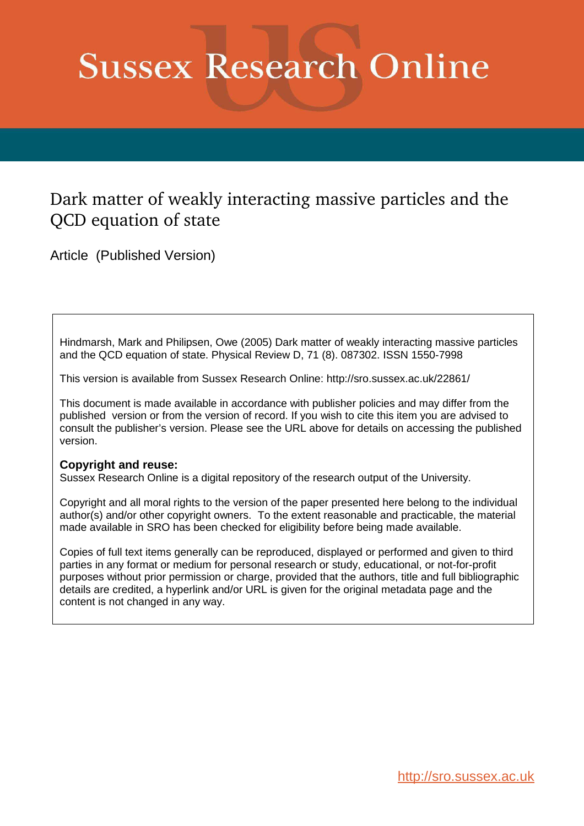## **Sussex Research Online**

## Dark matter of weakly interacting massive particles and the QCD equation of state

Article (Published Version)

Hindmarsh, Mark and Philipsen, Owe (2005) Dark matter of weakly interacting massive particles and the QCD equation of state. Physical Review D, 71 (8). 087302. ISSN 1550-7998

This version is available from Sussex Research Online: http://sro.sussex.ac.uk/22861/

This document is made available in accordance with publisher policies and may differ from the published version or from the version of record. If you wish to cite this item you are advised to consult the publisher's version. Please see the URL above for details on accessing the published version.

## **Copyright and reuse:**

Sussex Research Online is a digital repository of the research output of the University.

Copyright and all moral rights to the version of the paper presented here belong to the individual author(s) and/or other copyright owners. To the extent reasonable and practicable, the material made available in SRO has been checked for eligibility before being made available.

Copies of full text items generally can be reproduced, displayed or performed and given to third parties in any format or medium for personal research or study, educational, or not-for-profit purposes without prior permission or charge, provided that the authors, title and full bibliographic details are credited, a hyperlink and/or URL is given for the original metadata page and the content is not changed in any way.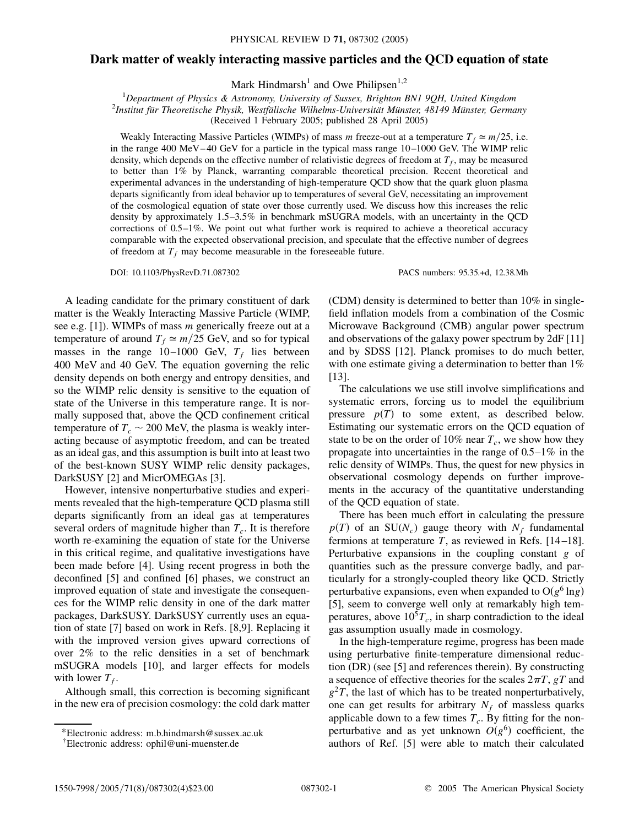## **Dark matter of weakly interacting massive particles and the QCD equation of state**

Mark Hindmarsh<sup>1</sup> and Owe Philipsen<sup>1,2</sup>

<sup>1</sup>*Department of Physics & Astronomy, University of Sussex, Brighton BN1 9QH, United Kingdom*

2 *Institut fu¨r Theoretische Physik, Westfa¨lische Wilhelms-Universita¨t Mu¨nster, 48149 Mu¨nster, Germany*

(Received 1 February 2005; published 28 April 2005)

Weakly Interacting Massive Particles (WIMPs) of mass *m* freeze-out at a temperature  $T_f \approx m/25$ , i.e. in the range 400 MeV-40 GeV for a particle in the typical mass range 10-1000 GeV. The WIMP relic density, which depends on the effective number of relativistic degrees of freedom at  $T_f$ , may be measured to better than 1% by Planck, warranting comparable theoretical precision. Recent theoretical and experimental advances in the understanding of high-temperature QCD show that the quark gluon plasma departs significantly from ideal behavior up to temperatures of several GeV, necessitating an improvement of the cosmological equation of state over those currently used. We discuss how this increases the relic density by approximately 1.5–3*:*5% in benchmark mSUGRA models, with an uncertainty in the QCD corrections of 0.5–1%. We point out what further work is required to achieve a theoretical accuracy comparable with the expected observational precision, and speculate that the effective number of degrees of freedom at  $T_f$  may become measurable in the foreseeable future.

A leading candidate for the primary constituent of dark matter is the Weakly Interacting Massive Particle (WIMP, see e.g. [1]). WIMPs of mass *m* generically freeze out at a temperature of around  $T_f \simeq m/25$  GeV, and so for typical masses in the range  $10-1000$  GeV,  $T_f$  lies between 400 MeV and 40 GeV. The equation governing the relic density depends on both energy and entropy densities, and so the WIMP relic density is sensitive to the equation of state of the Universe in this temperature range. It is normally supposed that, above the QCD confinement critical temperature of  $T_c \sim 200$  MeV, the plasma is weakly interacting because of asymptotic freedom, and can be treated as an ideal gas, and this assumption is built into at least two of the best-known SUSY WIMP relic density packages, DarkSUSY [2] and MicrOMEGAs [3].

However, intensive nonperturbative studies and experiments revealed that the high-temperature QCD plasma still departs significantly from an ideal gas at temperatures several orders of magnitude higher than *T<sup>c</sup>* . It is therefore worth re-examining the equation of state for the Universe in this critical regime, and qualitative investigations have been made before [4]. Using recent progress in both the deconfined [5] and confined [6] phases, we construct an improved equation of state and investigate the consequences for the WIMP relic density in one of the dark matter packages, DarkSUSY. DarkSUSY currently uses an equation of state [7] based on work in Refs. [8,9]. Replacing it with the improved version gives upward corrections of over 2% to the relic densities in a set of benchmark mSUGRA models [10], and larger effects for models with lower  $T_f$ .

Although small, this correction is becoming significant in the new era of precision cosmology: the cold dark matter

DOI: 10.1103/PhysRevD.71.087302 PACS numbers: 95.35.+d, 12.38.Mh

(CDM) density is determined to better than 10% in singlefield inflation models from a combination of the Cosmic Microwave Background (CMB) angular power spectrum and observations of the galaxy power spectrum by 2dF [11] and by SDSS [12]. Planck promises to do much better, with one estimate giving a determination to better than  $1\%$ [13].

The calculations we use still involve simplifications and systematic errors, forcing us to model the equilibrium pressure  $p(T)$  to some extent, as described below. Estimating our systematic errors on the QCD equation of state to be on the order of 10% near  $T_c$ , we show how they propagate into uncertainties in the range of 0.5–1% in the relic density of WIMPs. Thus, the quest for new physics in observational cosmology depends on further improvements in the accuracy of the quantitative understanding of the QCD equation of state.

There has been much effort in calculating the pressure  $p(T)$  of an SU( $N_c$ ) gauge theory with  $N_f$  fundamental fermions at temperature *T*, as reviewed in Refs. [14 –18]. Perturbative expansions in the coupling constant *g* of quantities such as the pressure converge badly, and particularly for a strongly-coupled theory like QCD. Strictly perturbative expansions, even when expanded to  $O(g^6 \ln g)$ [5], seem to converge well only at remarkably high temperatures, above  $10<sup>5</sup>T_c$ , in sharp contradiction to the ideal gas assumption usually made in cosmology.

In the high-temperature regime, progress has been made using perturbative finite-temperature dimensional reduction (DR) (see [5] and references therein). By constructing a sequence of effective theories for the scales  $2\pi T$ ,  $gT$  and  $g<sup>2</sup>T$ , the last of which has to be treated nonperturbatively, one can get results for arbitrary  $N_f$  of massless quarks applicable down to a few times  $T_c$ . By fitting for the nonperturbative and as yet unknown  $O(g^6)$  coefficient, the authors of Ref. [5] were able to match their calculated

<sup>\*</sup>Electronic address: m.b.hindmarsh@sussex.ac.uk

<sup>†</sup> Electronic address: ophil@uni-muenster.de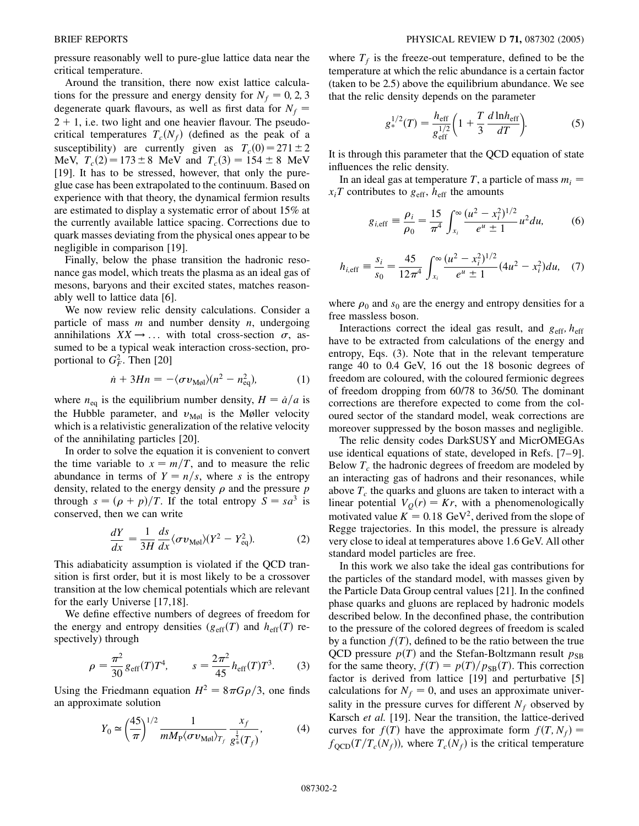pressure reasonably well to pure-glue lattice data near the critical temperature.

Around the transition, there now exist lattice calculations for the pressure and energy density for  $N_f = 0, 2, 3$ degenerate quark flavours, as well as first data for  $N_f$  =  $2 + 1$ , i.e. two light and one heavier flavour. The pseudocritical temperatures  $T_c(N_f)$  (defined as the peak of a susceptibility) are currently given as  $T_c(0) = 271 \pm 2$ MeV,  $T_c(2) = 173 \pm 8$  MeV and  $T_c(3) = 154 \pm 8$  MeV [19]. It has to be stressed, however, that only the pureglue case has been extrapolated to the continuum. Based on experience with that theory, the dynamical fermion results are estimated to display a systematic error of about 15% at the currently available lattice spacing. Corrections due to quark masses deviating from the physical ones appear to be negligible in comparison [19].

Finally, below the phase transition the hadronic resonance gas model, which treats the plasma as an ideal gas of mesons, baryons and their excited states, matches reasonably well to lattice data [6].

We now review relic density calculations. Consider a particle of mass *m* and number density *n*, undergoing annihilations  $XX \rightarrow \dots$  with total cross-section  $\sigma$ , assumed to be a typical weak interaction cross-section, proportional to  $G_F^2$ . Then [20]

$$
\dot{n} + 3Hn = -\langle \sigma v_{\text{Mgl}} \rangle (n^2 - n_{\text{eq}}^2), \tag{1}
$$

where  $n_{eq}$  is the equilibrium number density,  $H = \dot{a}/a$  is the Hubble parameter, and  $v_{\text{Mol}}$  is the Møller velocity which is a relativistic generalization of the relative velocity of the annihilating particles [20].

In order to solve the equation it is convenient to convert the time variable to  $x = m/T$ , and to measure the relic abundance in terms of  $Y = n/s$ , where *s* is the entropy density, related to the energy density  $\rho$  and the pressure  $p$ through  $s = (p + p)/T$ . If the total entropy  $S = sa^3$  is conserved, then we can write

$$
\frac{dY}{dx} = \frac{1}{3H} \frac{ds}{dx} \langle \sigma v_{\text{Mpl}} \rangle (Y^2 - Y_{\text{eq}}^2). \tag{2}
$$

This adiabaticity assumption is violated if the QCD transition is first order, but it is most likely to be a crossover transition at the low chemical potentials which are relevant for the early Universe [17,18].

We define effective numbers of degrees of freedom for the energy and entropy densities  $(g_{\text{eff}}(T))$  and  $h_{\text{eff}}(T)$  respectively) through

$$
\rho = \frac{\pi^2}{30} g_{\text{eff}}(T) T^4, \qquad s = \frac{2\pi^2}{45} h_{\text{eff}}(T) T^3. \tag{3}
$$

Using the Friedmann equation  $H^2 = 8\pi G\rho/3$ , one finds an approximate solution

$$
Y_0 \simeq \left(\frac{45}{\pi}\right)^{1/2} \frac{1}{m M_{\rm P} \langle \sigma v_{\rm M\emptyset} \rangle_{T_f}} \frac{x_f}{g_*^{\frac{1}{2}}(T_f)},\tag{4}
$$

where  $T_f$  is the freeze-out temperature, defined to be the temperature at which the relic abundance is a certain factor (taken to be 2.5) above the equilibrium abundance. We see that the relic density depends on the parameter

$$
g_{*}^{1/2}(T) = \frac{h_{\text{eff}}}{g_{\text{eff}}^{1/2}} \left( 1 + \frac{T}{3} \frac{d \ln h_{\text{eff}}}{dT} \right).
$$
 (5)

It is through this parameter that the QCD equation of state influences the relic density.

In an ideal gas at temperature *T*, a particle of mass  $m_i =$  $x_i$ *T* contributes to  $g_{\text{eff}}$ ,  $h_{\text{eff}}$  the amounts

$$
g_{i,\text{eff}} \equiv \frac{\rho_i}{\rho_0} = \frac{15}{\pi^4} \int_{x_i}^{\infty} \frac{(u^2 - x_i^2)^{1/2}}{e^u \pm 1} u^2 du,\tag{6}
$$

$$
h_{i,\text{eff}} \equiv \frac{s_i}{s_0} = \frac{45}{12\pi^4} \int_{x_i}^{\infty} \frac{(u^2 - x_i^2)^{1/2}}{e^u \pm 1} (4u^2 - x_i^2) du, \quad (7)
$$

where  $\rho_0$  and  $s_0$  are the energy and entropy densities for a free massless boson.

Interactions correct the ideal gas result, and  $g_{\text{eff}}$ ,  $h_{\text{eff}}$ have to be extracted from calculations of the energy and entropy, Eqs. (3). Note that in the relevant temperature range 40 to 0.4 GeV, 16 out the 18 bosonic degrees of freedom are coloured, with the coloured fermionic degrees of freedom dropping from 60/78 to 36/50. The dominant corrections are therefore expected to come from the coloured sector of the standard model, weak corrections are moreover suppressed by the boson masses and negligible.

The relic density codes DarkSUSY and MicrOMEGAs use identical equations of state, developed in Refs. [7–9]. Below *T<sup>c</sup>* the hadronic degrees of freedom are modeled by an interacting gas of hadrons and their resonances, while above  $T_c$  the quarks and gluons are taken to interact with a linear potential  $V<sub>O</sub>(r) = Kr$ , with a phenomenologically motivated value  $K = 0.18$  GeV<sup>2</sup>, derived from the slope of Regge trajectories. In this model, the pressure is already very close to ideal at temperatures above 1.6 GeV. All other standard model particles are free.

In this work we also take the ideal gas contributions for the particles of the standard model, with masses given by the Particle Data Group central values [21]. In the confined phase quarks and gluons are replaced by hadronic models described below. In the deconfined phase, the contribution to the pressure of the colored degrees of freedom is scaled by a function  $f(T)$ , defined to be the ratio between the true QCD pressure  $p(T)$  and the Stefan-Boltzmann result  $p_{SB}$ for the same theory,  $f(T) = p(T)/p_{SB}(T)$ . This correction factor is derived from lattice [19] and perturbative [5] calculations for  $N_f = 0$ , and uses an approximate universality in the pressure curves for different  $N_f$  observed by Karsch *et al.* [19]. Near the transition, the lattice-derived curves for  $f(T)$  have the approximate form  $f(T, N_f) =$  $f_{\text{QCD}}(T/T_c(N_f))$ , where  $T_c(N_f)$  is the critical temperature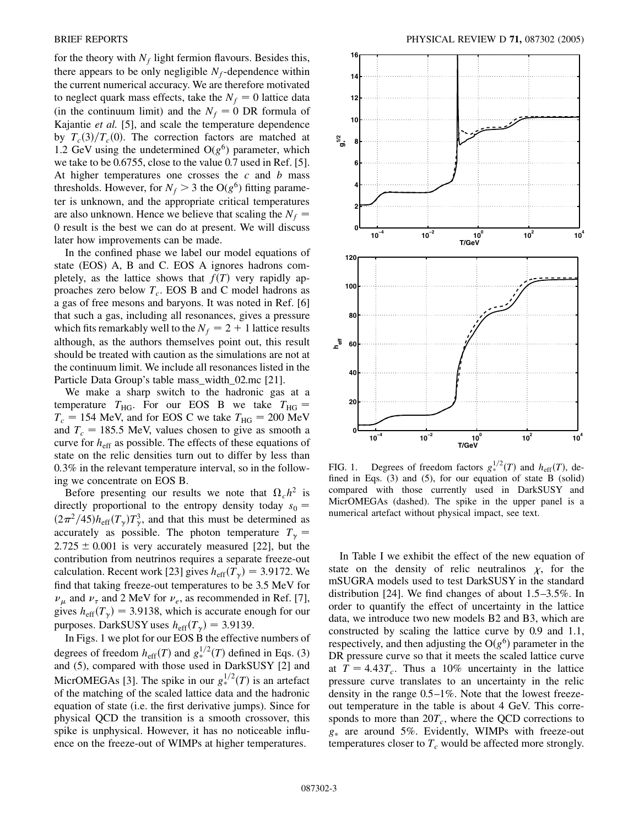for the theory with  $N_f$  light fermion flavours. Besides this, there appears to be only negligible  $N_f$ -dependence within the current numerical accuracy. We are therefore motivated to neglect quark mass effects, take the  $N_f = 0$  lattice data (in the continuum limit) and the  $N_f = 0$  DR formula of Kajantie *et al.* [5], and scale the temperature dependence by  $T_c(3)/T_c(0)$ . The correction factors are matched at 1.2 GeV using the undetermined  $O(g^6)$  parameter, which we take to be 0.6755, close to the value 0.7 used in Ref. [5]. At higher temperatures one crosses the *c* and *b* mass thresholds. However, for  $N_f > 3$  the O( $g^6$ ) fitting parameter is unknown, and the appropriate critical temperatures are also unknown. Hence we believe that scaling the  $N_f$  = 0 result is the best we can do at present. We will discuss later how improvements can be made.

In the confined phase we label our model equations of state (EOS) A, B and C. EOS A ignores hadrons completely, as the lattice shows that  $f(T)$  very rapidly approaches zero below *T<sup>c</sup>* . EOS B and C model hadrons as a gas of free mesons and baryons. It was noted in Ref. [6] that such a gas, including all resonances, gives a pressure which fits remarkably well to the  $N_f = 2 + 1$  lattice results although, as the authors themselves point out, this result should be treated with caution as the simulations are not at the continuum limit. We include all resonances listed in the Particle Data Group's table mass width 02.mc [21].

We make a sharp switch to the hadronic gas at a temperature  $T_{\text{HG}}$ . For our EOS B we take  $T_{\text{HG}} =$  $T_c = 154$  MeV, and for EOS C we take  $T_{HG} = 200$  MeV and  $T_c = 185.5$  MeV, values chosen to give as smooth a curve for  $h<sub>eff</sub>$  as possible. The effects of these equations of state on the relic densities turn out to differ by less than 0*:*3% in the relevant temperature interval, so in the following we concentrate on EOS B.

Before presenting our results we note that  $\Omega_c h^2$  is directly proportional to the entropy density today  $s_0 =$  $(2\pi^2/45)h_{\text{eff}}(T_\gamma)T_\gamma^3$ , and that this must be determined as accurately as possible. The photon temperature  $T_{\gamma}$  =  $2.725 \pm 0.001$  is very accurately measured [22], but the contribution from neutrinos requires a separate freeze-out calculation. Recent work [23] gives  $h_{\text{eff}}(T_\gamma) = 3.9172$ . We find that taking freeze-out temperatures to be 3.5 MeV for  $\nu_{\mu}$  and  $\nu_{\tau}$  and 2 MeV for  $\nu_e$ , as recommended in Ref. [7], gives  $h_{\text{eff}}(T_{\gamma}) = 3.9138$ , which is accurate enough for our purposes. DarkSUSY uses  $h_{\text{eff}}(T_v) = 3.9139$ .

In Figs. 1 we plot for our EOS B the effective numbers of degrees of freedom  $h_{\text{eff}}(T)$  and  $g_*^{1/2}(T)$  defined in Eqs. (3) and (5), compared with those used in DarkSUSY [2] and MicrOMEGAs [3]. The spike in our  $g_*^{1/2}(T)$  is an artefact of the matching of the scaled lattice data and the hadronic equation of state (i.e. the first derivative jumps). Since for physical QCD the transition is a smooth crossover, this spike is unphysical. However, it has no noticeable influence on the freeze-out of WIMPs at higher temperatures.



FIG. 1. Degrees of freedom factors  $g_*^{1/2}(T)$  and  $h_{\text{eff}}(T)$ , defined in Eqs. (3) and (5), for our equation of state B (solid) compared with those currently used in DarkSUSY and MicrOMEGAs (dashed). The spike in the upper panel is a numerical artefact without physical impact, see text.

In Table I we exhibit the effect of the new equation of state on the density of relic neutralinos  $\chi$ , for the mSUGRA models used to test DarkSUSY in the standard distribution [24]. We find changes of about 1.5–3*:*5%. In order to quantify the effect of uncertainty in the lattice data, we introduce two new models B2 and B3, which are constructed by scaling the lattice curve by 0.9 and 1.1, respectively, and then adjusting the  $O(g^6)$  parameter in the DR pressure curve so that it meets the scaled lattice curve at  $T = 4.43T_c$ . Thus a 10% uncertainty in the lattice pressure curve translates to an uncertainty in the relic density in the range 0.5–1%. Note that the lowest freezeout temperature in the table is about 4 GeV. This corresponds to more than  $20T_c$ , where the QCD corrections to *g* are around 5%. Evidently, WIMPs with freeze-out temperatures closer to  $T_c$  would be affected more strongly.